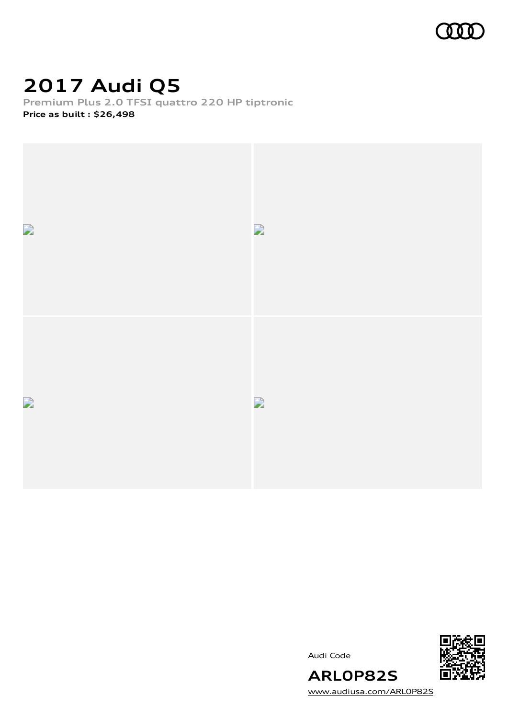

## **2017 Audi Q5**

**Premium Plus 2.0 TFSI quattro 220 HP tiptronic Price as built [:](#page-10-0) \$26,498**



Audi Code



[www.audiusa.com/ARL0P82S](https://www.audiusa.com/ARL0P82S)

**ARL0P82S**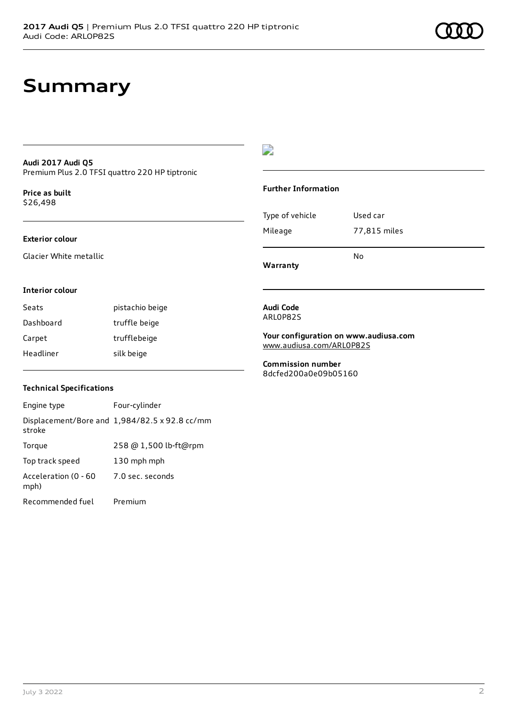### **Summary**

### **Audi 2017 Audi Q5** Premium Plus 2.0 TFSI quattro 220 HP tiptronic

**Price as buil[t](#page-10-0)** \$26,498

### **Exterior colour**

Glacier White metallic

### $\overline{\phantom{a}}$

### **Further Information**

|                 | N٥           |
|-----------------|--------------|
| Mileage         | 77,815 miles |
| Type of vehicle | Used car     |

**Warranty**

### **Interior colour**

Seats **pistachio** beige Dashboard truffle beige Carpet trufflebeige Headliner silk beige

### **Technical Specifications**

| Engine type                  | Four-cylinder                                 |
|------------------------------|-----------------------------------------------|
| stroke                       | Displacement/Bore and 1,984/82.5 x 92.8 cc/mm |
| Torque                       | 258 @ 1,500 lb-ft@rpm                         |
| Top track speed              | 130 mph mph                                   |
| Acceleration (0 - 60<br>mph) | 7.0 sec. seconds                              |
| Recommended fuel             | Premium                                       |

#### **Audi Code** ARL0P82S

**Your configuration on www.audiusa.com** [www.audiusa.com/ARL0P82S](https://www.audiusa.com/ARL0P82S)

**Commission number** 8dcfed200a0e09b05160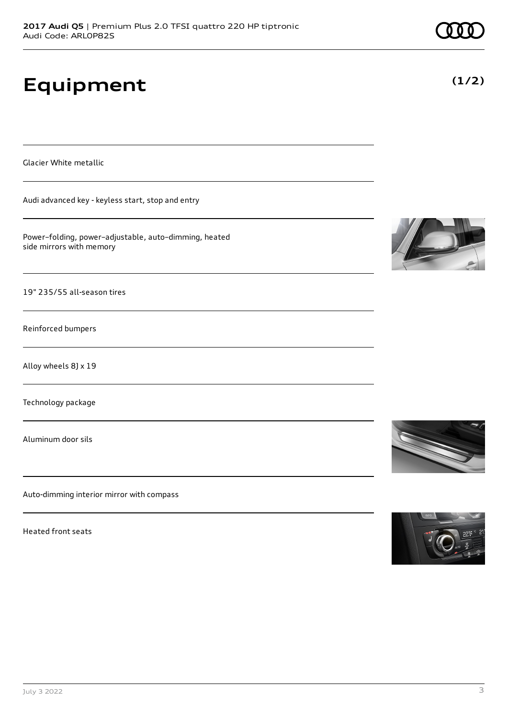# **Equipment**

Glacier White metallic

Audi advanced key - keyless start, stop and entry

Power–folding, power–adjustable, auto–dimming, heated side mirrors with memory

19" 235/55 all-season tires

Reinforced bumpers

Alloy wheels 8J x 19

Technology package

Aluminum door sils

Auto-dimming interior mirror with compass

Heated front seats





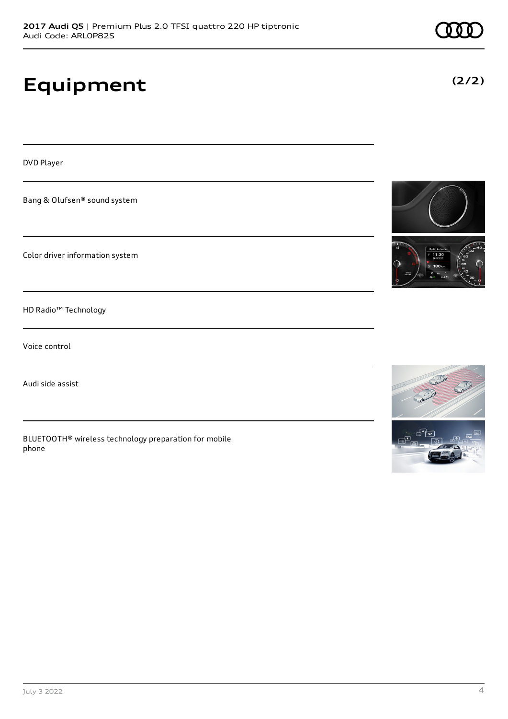# **Equipment**

DVD Player

Bang & Olufsen® sound system

Color driver information system

HD Radio™ Technology

Voice control

Audi side assist

BLUETOOTH® wireless technology preparation for mobile phone







**(2/2)**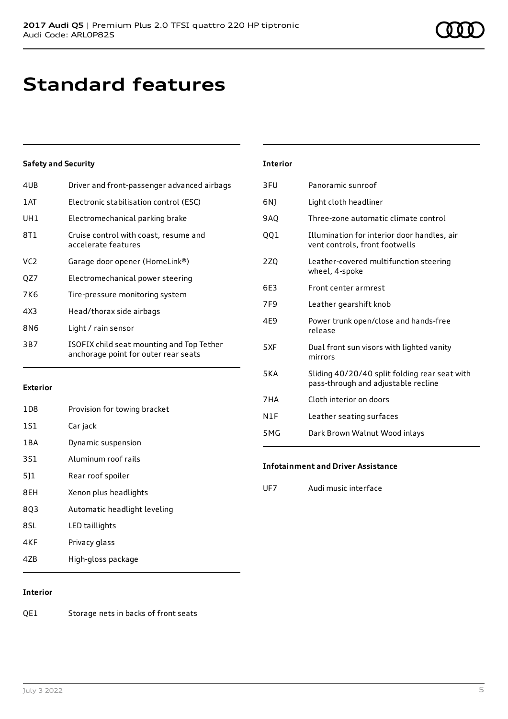### **Standard features**

### **Safety and Security**

| 4UB  | Driver and front-passenger advanced airbags                                       |
|------|-----------------------------------------------------------------------------------|
| 1 AT | Electronic stabilisation control (ESC)                                            |
| UH1  | Electromechanical parking brake                                                   |
| 8T1  | Cruise control with coast, resume and<br>accelerate features                      |
| VC2  | Garage door opener (HomeLink®)                                                    |
| QZ7  | Electromechanical power steering                                                  |
| 7K6  | Tire-pressure monitoring system                                                   |
| 4X3  | Head/thorax side airbags                                                          |
| 8N6  | Light / rain sensor                                                               |
| 3B7  | ISOFIX child seat mounting and Top Tether<br>anchorage point for outer rear seats |

### **Exterior**

| 1D <sub>8</sub> | Provision for towing bracket |
|-----------------|------------------------------|
| 1S1             | Car jack                     |
| 1BA             | Dynamic suspension           |
| <b>3S1</b>      | Aluminum roof rails          |
| 511             | Rear roof spoiler            |
| 8EH             | Xenon plus headlights        |
| 8Q3             | Automatic headlight leveling |
| 8SL             | LED taillights               |
| 4KF             | Privacy glass                |
| 4ZB             | High-gloss package           |

### **Interior**

| 3FU        | Panoramic sunroof                                                                    |
|------------|--------------------------------------------------------------------------------------|
| 6N)        | Light cloth headliner                                                                |
| 9AQ        | Three-zone automatic climate control                                                 |
| QQ1        | Illumination for interior door handles, air<br>vent controls, front footwells        |
| 2Z0        | Leather-covered multifunction steering<br>wheel, 4-spoke                             |
| 6F3        | Front center armrest                                                                 |
| 7F9        | Leather gearshift knob                                                               |
| 4E9        | Power trunk open/close and hands-free<br>release                                     |
| 5XF        | Dual front sun visors with lighted vanity<br>mirrors                                 |
| <b>5KA</b> | Sliding 40/20/40 split folding rear seat with<br>pass-through and adjustable recline |
| 7HA        | Cloth interior on doors                                                              |
| N1F        | Leather seating surfaces                                                             |
| 5MG        | Dark Brown Walnut Wood inlays                                                        |
|            |                                                                                      |

#### **Infotainment and Driver Assistance**

UF7 Audi music interface

### **Interior**

QE1 Storage nets in backs of front seats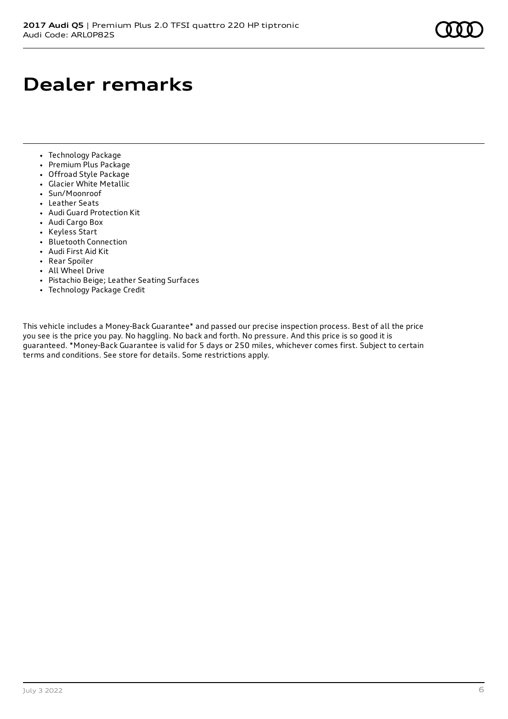## **Dealer remarks**

- Technology Package
- Premium Plus Package
- Offroad Style Package
- Glacier White Metallic
- Sun/Moonroof
- Leather Seats
- Audi Guard Protection Kit
- Audi Cargo Box
- Keyless Start
- Bluetooth Connection
- Audi First Aid Kit
- Rear Spoiler
- All Wheel Drive
- Pistachio Beige; Leather Seating Surfaces
- Technology Package Credit

This vehicle includes a Money-Back Guarantee\* and passed our precise inspection process. Best of all the price you see is the price you pay. No haggling. No back and forth. No pressure. And this price is so good it is guaranteed. \*Money-Back Guarantee is valid for 5 days or 250 miles, whichever comes first. Subject to certain terms and conditions. See store for details. Some restrictions apply.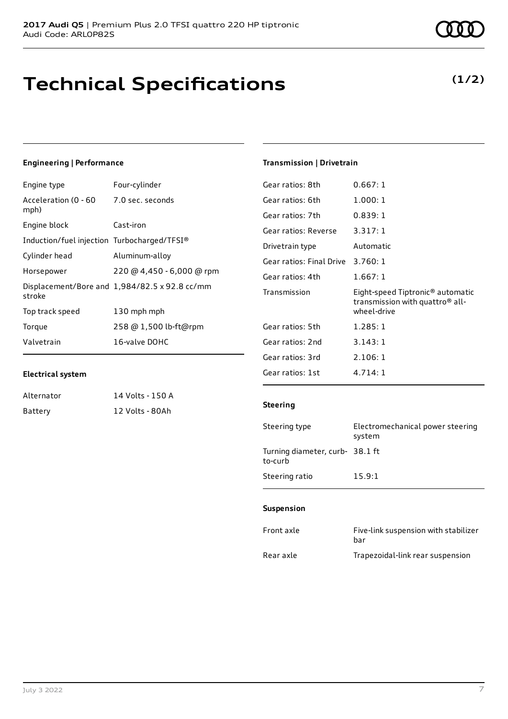### **Technical Specifications**

### **Engineering | Performance**

| Engine type                                     | Four-cylinder                                 |
|-------------------------------------------------|-----------------------------------------------|
| Acceleration (0 - 60 - 7.0 sec. seconds<br>mph) |                                               |
| Engine block                                    | Cast-iron                                     |
| Induction/fuel injection Turbocharged/TFSI®     |                                               |
| Cylinder head                                   | Aluminum-alloy                                |
| Horsepower                                      | 220 @ 4,450 - 6,000 @ rpm                     |
| stroke                                          | Displacement/Bore and 1,984/82.5 x 92.8 cc/mm |
| Top track speed                                 | 130 mph mph                                   |
| Torque                                          | 258 @ 1,500 lb-ft@rpm                         |
| Valvetrain                                      | 16-valve DOHC                                 |
|                                                 |                                               |

### **Electrical system**

| Alternator | 14 Volts - 150 A |
|------------|------------------|
| Battery    | 12 Volts - 80Ah  |

### **Transmission | Drivetrain**

| Gear ratios: 8th         | 0.667:1                                                                                        |
|--------------------------|------------------------------------------------------------------------------------------------|
| Gear ratios: 6th         | 1.000:1                                                                                        |
| Gear ratios: 7th         | 0.839:1                                                                                        |
| Gear ratios: Reverse     | 3.317:1                                                                                        |
| Drivetrain type          | Automatic                                                                                      |
| Gear ratios: Final Drive | 3.760:1                                                                                        |
| Gear ratios: 4th         | 1.667:1                                                                                        |
| Transmission             | Eight-speed Tiptronic <sup>®</sup> automatic<br>transmission with quattro® all-<br>wheel-drive |
| Gear ratios: 5th         | 1.285:1                                                                                        |
| Gear ratios: 2nd         | 3.143:1                                                                                        |
| Gear ratios: 3rd         | 2.106:1                                                                                        |
|                          |                                                                                                |

#### **Steering**

| Steering type                             | Electromechanical power steering<br>system |
|-------------------------------------------|--------------------------------------------|
| Turning diameter, curb-38.1 ft<br>to-curb |                                            |
| Steering ratio                            | 15.9:1                                     |

### **Suspension**

| Front axle | Five-link suspension with stabilizer<br>bar |
|------------|---------------------------------------------|
| Rear axle  | Trapezoidal-link rear suspension            |

### **(1/2)**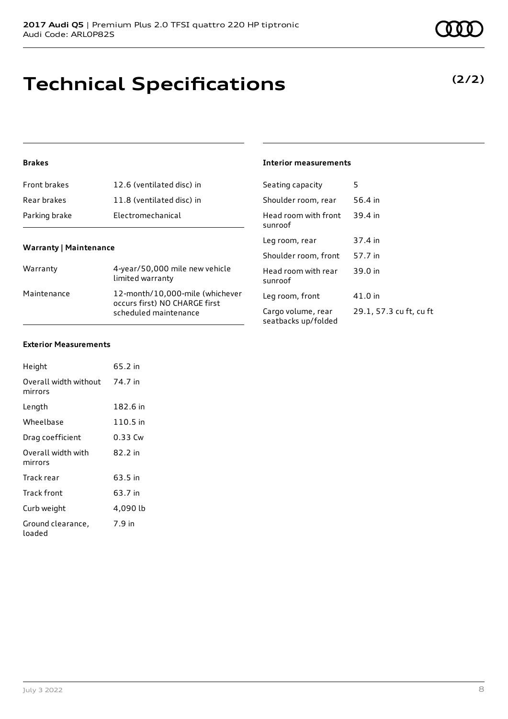### **Technical Specifications**

### **Brakes**

| Front brakes  | 12.6 (ventilated disc) in |
|---------------|---------------------------|
| Rear brakes   | 11.8 (ventilated disc) in |
| Parking brake | Electromechanical         |

### **Warranty | Maintenance**

| Warranty    | 4-year/50,000 mile new vehicle<br>limited warranty                                        |
|-------------|-------------------------------------------------------------------------------------------|
| Maintenance | 12-month/10,000-mile (whichever<br>occurs first) NO CHARGE first<br>scheduled maintenance |

### **Interior measurements**

| Seating capacity                          | 5                       |
|-------------------------------------------|-------------------------|
| Shoulder room, rear                       | 56.4 in                 |
| Head room with front<br>sunroof           | 39.4 in                 |
| Leg room, rear                            | 37.4 in                 |
| Shoulder room, front                      | 57.7 in                 |
| Head room with rear<br>sunroof            | 39.0 in                 |
| Leg room, front                           | 41.0 in                 |
| Cargo volume, rear<br>seatbacks up/folded | 29.1, 57.3 cu ft, cu ft |

#### **Exterior Measurements**

| Height                           | 65.2 in  |
|----------------------------------|----------|
| Overall width without<br>mirrors | 74.7 in  |
| Length                           | 182.6 in |
| Wheelbase                        | 110.5 in |
| Drag coefficient                 | 0.33 Cw  |
| Overall width with<br>mirrors    | 82.2 in  |
| Track rear                       | 63.5 in  |
| Track front                      | 63.7 in  |
| Curb weight                      | 4,090 lb |
| Ground clearance,<br>loaded      | 7.9 in   |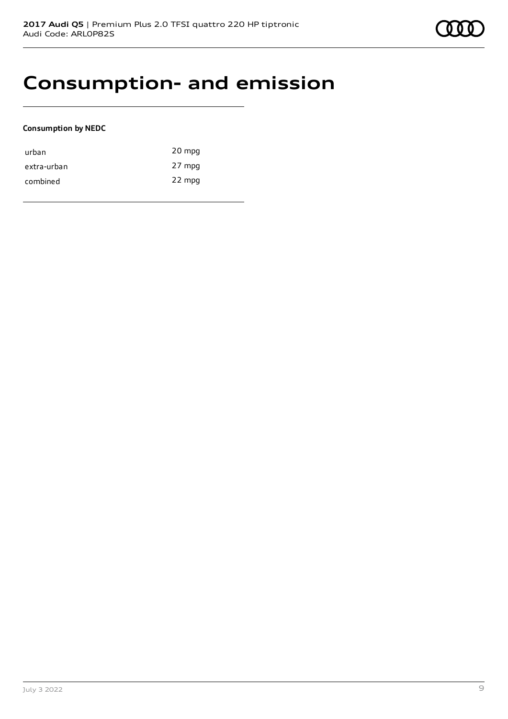

### **Consumption- and emission**

### **Consumption by NEDC**

| urban       | 20 mpg |
|-------------|--------|
| extra-urban | 27 mpg |
| combined    | 22 mpg |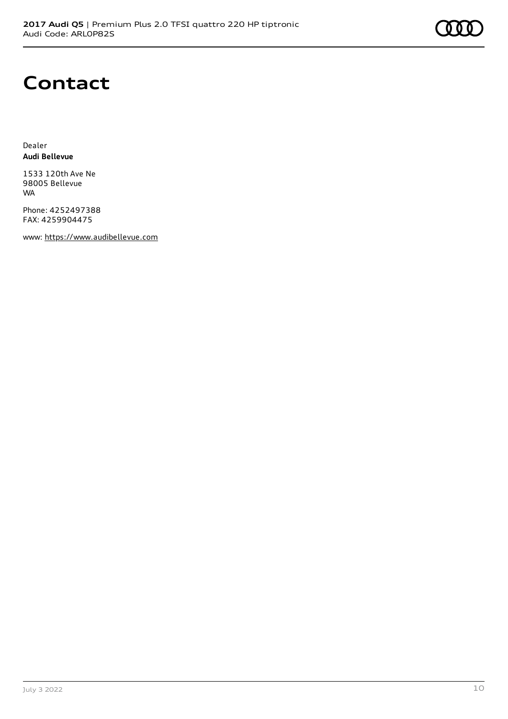### **Contact**

Dealer **Audi Bellevue**

1533 120th Ave Ne 98005 Bellevue WA

Phone: 4252497388 FAX: 4259904475

www: [https://www.audibellevue.com](https://www.audibellevue.com/)